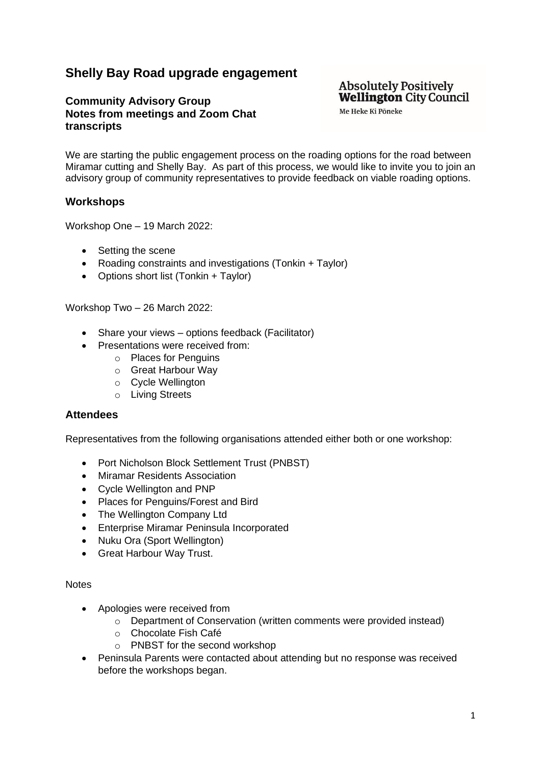### **Shelly Bay Road upgrade engagement**

### **Community Advisory Group Notes from meetings and Zoom Chat transcripts**

### **Absolutely Positively Wellington City Council**

Me Heke Ki Pōneke

We are starting the public engagement process on the roading options for the road between Miramar cutting and Shelly Bay. As part of this process, we would like to invite you to join an advisory group of community representatives to provide feedback on viable roading options.

#### **Workshops**

Workshop One – 19 March 2022:

- Setting the scene
- Roading constraints and investigations (Tonkin + Taylor)
- Options short list (Tonkin + Taylor)

Workshop Two – 26 March 2022:

- Share your views options feedback (Facilitator)
- Presentations were received from:
	- o Places for Penguins
	- o Great Harbour Way
	- o Cycle Wellington
	- o Living Streets

#### **Attendees**

Representatives from the following organisations attended either both or one workshop:

- Port Nicholson Block Settlement Trust (PNBST)
- Miramar Residents Association
- Cycle Wellington and PNP
- Places for Penguins/Forest and Bird
- The Wellington Company Ltd
- Enterprise Miramar Peninsula Incorporated
- Nuku Ora (Sport Wellington)
- Great Harbour Way Trust.

#### **Notes**

- Apologies were received from
	- o Department of Conservation (written comments were provided instead)
	- o Chocolate Fish Café
	- o PNBST for the second workshop
- Peninsula Parents were contacted about attending but no response was received before the workshops began.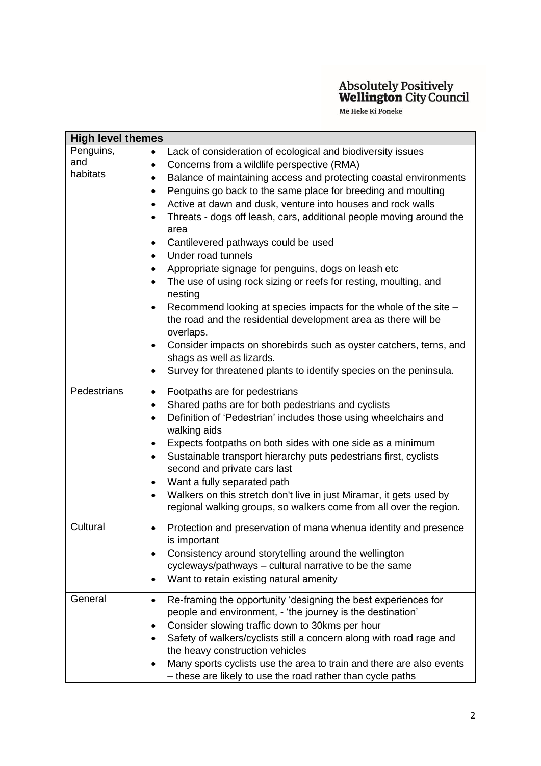| <b>High level themes</b> |                                                                                  |  |
|--------------------------|----------------------------------------------------------------------------------|--|
| Penguins,                | Lack of consideration of ecological and biodiversity issues                      |  |
| and                      | Concerns from a wildlife perspective (RMA)<br>٠                                  |  |
| habitats                 | Balance of maintaining access and protecting coastal environments<br>$\bullet$   |  |
|                          | Penguins go back to the same place for breeding and moulting<br>٠                |  |
|                          | Active at dawn and dusk, venture into houses and rock walls<br>$\bullet$         |  |
|                          | Threats - dogs off leash, cars, additional people moving around the              |  |
|                          | area                                                                             |  |
|                          | Cantilevered pathways could be used<br>٠                                         |  |
|                          | Under road tunnels<br>$\bullet$                                                  |  |
|                          | Appropriate signage for penguins, dogs on leash etc<br>$\bullet$                 |  |
|                          | The use of using rock sizing or reefs for resting, moulting, and<br>$\bullet$    |  |
|                          | nesting                                                                          |  |
|                          | Recommend looking at species impacts for the whole of the site -<br>٠            |  |
|                          | the road and the residential development area as there will be                   |  |
|                          | overlaps.                                                                        |  |
|                          | Consider impacts on shorebirds such as oyster catchers, terns, and<br>$\bullet$  |  |
|                          | shags as well as lizards.                                                        |  |
|                          | Survey for threatened plants to identify species on the peninsula.<br>$\bullet$  |  |
|                          |                                                                                  |  |
| Pedestrians              | Footpaths are for pedestrians<br>٠                                               |  |
|                          | Shared paths are for both pedestrians and cyclists<br>٠                          |  |
|                          | Definition of 'Pedestrian' includes those using wheelchairs and<br>$\bullet$     |  |
|                          | walking aids                                                                     |  |
|                          | Expects footpaths on both sides with one side as a minimum<br>٠                  |  |
|                          | Sustainable transport hierarchy puts pedestrians first, cyclists<br>$\bullet$    |  |
|                          | second and private cars last                                                     |  |
|                          | Want a fully separated path<br>٠                                                 |  |
|                          | Walkers on this stretch don't live in just Miramar, it gets used by<br>$\bullet$ |  |
|                          | regional walking groups, so walkers come from all over the region.               |  |
| Cultural                 | Protection and preservation of mana whenua identity and presence<br>$\bullet$    |  |
|                          | is important                                                                     |  |
|                          | Consistency around storytelling around the wellington                            |  |
|                          | cycleways/pathways - cultural narrative to be the same                           |  |
|                          | Want to retain existing natural amenity                                          |  |
| General                  | Re-framing the opportunity 'designing the best experiences for                   |  |
|                          | $\bullet$<br>people and environment, - 'the journey is the destination'          |  |
|                          | Consider slowing traffic down to 30kms per hour                                  |  |
|                          | Safety of walkers/cyclists still a concern along with road rage and              |  |
|                          | the heavy construction vehicles                                                  |  |
|                          | Many sports cyclists use the area to train and there are also events             |  |
|                          | - these are likely to use the road rather than cycle paths                       |  |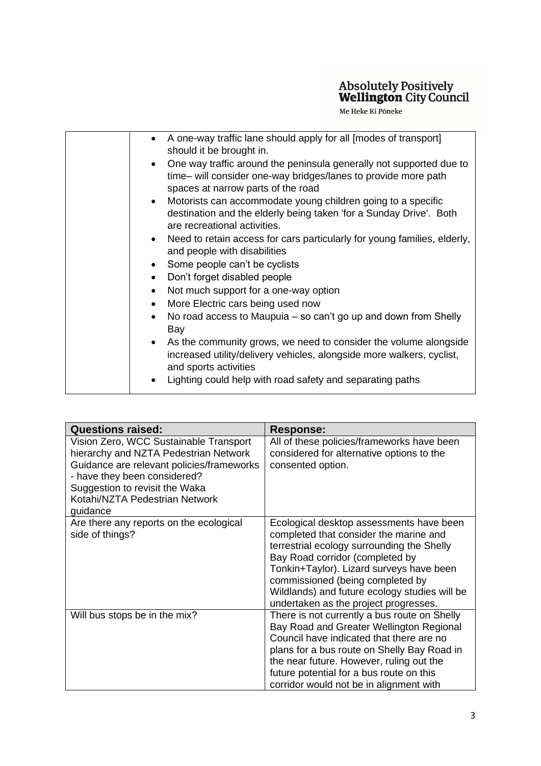| A one-way traffic lane should apply for all [modes of transport]<br>should it be brought in.                                                                                    |
|---------------------------------------------------------------------------------------------------------------------------------------------------------------------------------|
| One way traffic around the peninsula generally not supported due to<br>time- will consider one-way bridges/lanes to provide more path<br>spaces at narrow parts of the road     |
| Motorists can accommodate young children going to a specific<br>$\bullet$<br>destination and the elderly being taken 'for a Sunday Drive'. Both<br>are recreational activities. |
| Need to retain access for cars particularly for young families, elderly,<br>and people with disabilities                                                                        |
| Some people can't be cyclists                                                                                                                                                   |
| Don't forget disabled people                                                                                                                                                    |
| Not much support for a one-way option<br>$\bullet$                                                                                                                              |
| More Electric cars being used now                                                                                                                                               |
| No road access to Maupuia – so can't go up and down from Shelly<br>$\bullet$<br>Bay                                                                                             |
| As the community grows, we need to consider the volume alongside<br>increased utility/delivery vehicles, alongside more walkers, cyclist,<br>and sports activities              |
| Lighting could help with road safety and separating paths                                                                                                                       |

| <b>Questions raised:</b>                                                                                                                                                                                                                     | <b>Response:</b>                                                                                                                                                                                                                                                                                                                              |
|----------------------------------------------------------------------------------------------------------------------------------------------------------------------------------------------------------------------------------------------|-----------------------------------------------------------------------------------------------------------------------------------------------------------------------------------------------------------------------------------------------------------------------------------------------------------------------------------------------|
| Vision Zero, WCC Sustainable Transport<br>hierarchy and NZTA Pedestrian Network<br>Guidance are relevant policies/frameworks<br>- have they been considered?<br>Suggestion to revisit the Waka<br>Kotahi/NZTA Pedestrian Network<br>guidance | All of these policies/frameworks have been<br>considered for alternative options to the<br>consented option.                                                                                                                                                                                                                                  |
| Are there any reports on the ecological<br>side of things?                                                                                                                                                                                   | Ecological desktop assessments have been<br>completed that consider the marine and<br>terrestrial ecology surrounding the Shelly<br>Bay Road corridor (completed by<br>Tonkin+Taylor). Lizard surveys have been<br>commissioned (being completed by<br>Wildlands) and future ecology studies will be<br>undertaken as the project progresses. |
| Will bus stops be in the mix?                                                                                                                                                                                                                | There is not currently a bus route on Shelly<br>Bay Road and Greater Wellington Regional<br>Council have indicated that there are no<br>plans for a bus route on Shelly Bay Road in<br>the near future. However, ruling out the<br>future potential for a bus route on this<br>corridor would not be in alignment with                        |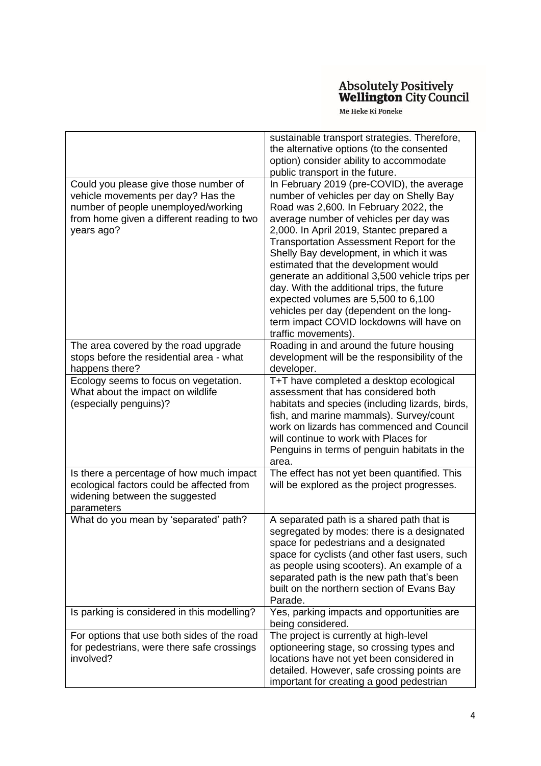|                                                                                                                                                                                | sustainable transport strategies. Therefore,<br>the alternative options (to the consented<br>option) consider ability to accommodate<br>public transport in the future.                                                                                                                                                                                                                                                                                                                                                                                                                                   |
|--------------------------------------------------------------------------------------------------------------------------------------------------------------------------------|-----------------------------------------------------------------------------------------------------------------------------------------------------------------------------------------------------------------------------------------------------------------------------------------------------------------------------------------------------------------------------------------------------------------------------------------------------------------------------------------------------------------------------------------------------------------------------------------------------------|
| Could you please give those number of<br>vehicle movements per day? Has the<br>number of people unemployed/working<br>from home given a different reading to two<br>years ago? | In February 2019 (pre-COVID), the average<br>number of vehicles per day on Shelly Bay<br>Road was 2,600. In February 2022, the<br>average number of vehicles per day was<br>2,000. In April 2019, Stantec prepared a<br>Transportation Assessment Report for the<br>Shelly Bay development, in which it was<br>estimated that the development would<br>generate an additional 3,500 vehicle trips per<br>day. With the additional trips, the future<br>expected volumes are 5,500 to 6,100<br>vehicles per day (dependent on the long-<br>term impact COVID lockdowns will have on<br>traffic movements). |
| The area covered by the road upgrade<br>stops before the residential area - what<br>happens there?                                                                             | Roading in and around the future housing<br>development will be the responsibility of the<br>developer.                                                                                                                                                                                                                                                                                                                                                                                                                                                                                                   |
| Ecology seems to focus on vegetation.<br>What about the impact on wildlife<br>(especially penguins)?                                                                           | T+T have completed a desktop ecological<br>assessment that has considered both<br>habitats and species (including lizards, birds,<br>fish, and marine mammals). Survey/count<br>work on lizards has commenced and Council<br>will continue to work with Places for<br>Penguins in terms of penguin habitats in the<br>area.                                                                                                                                                                                                                                                                               |
| Is there a percentage of how much impact<br>ecological factors could be affected from<br>widening between the suggested<br>parameters                                          | The effect has not yet been quantified. This<br>will be explored as the project progresses.                                                                                                                                                                                                                                                                                                                                                                                                                                                                                                               |
| What do you mean by 'separated' path?                                                                                                                                          | A separated path is a shared path that is<br>segregated by modes: there is a designated<br>space for pedestrians and a designated<br>space for cyclists (and other fast users, such<br>as people using scooters). An example of a<br>separated path is the new path that's been<br>built on the northern section of Evans Bay<br>Parade.                                                                                                                                                                                                                                                                  |
| Is parking is considered in this modelling?                                                                                                                                    | Yes, parking impacts and opportunities are<br>being considered.                                                                                                                                                                                                                                                                                                                                                                                                                                                                                                                                           |
| For options that use both sides of the road<br>for pedestrians, were there safe crossings<br>involved?                                                                         | The project is currently at high-level<br>optioneering stage, so crossing types and<br>locations have not yet been considered in<br>detailed. However, safe crossing points are<br>important for creating a good pedestrian                                                                                                                                                                                                                                                                                                                                                                               |